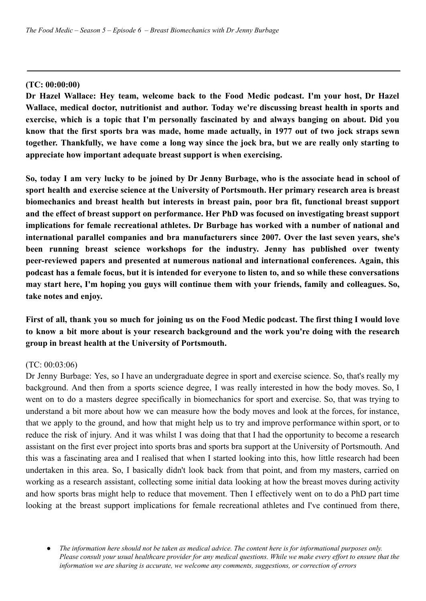## **(TC: 00:00:00)**

**Dr Hazel Wallace: Hey team, welcome back to the Food Medic podcast. I'm your host, Dr Hazel Wallace, medical doctor, nutritionist and author. Today we're discussing breast health in sports and exercise, which is a topic that I'm personally fascinated by and always banging on about. Did you** know that the first sports bra was made, home made actually, in 1977 out of two jock straps sewn together. Thankfully, we have come a long way since the jock bra, but we are really only starting to **appreciate how important adequate breast support is when exercising.**

So, today I am very lucky to be joined by Dr Jenny Burbage, who is the associate head in school of **sport health and exercise science at the University of Portsmouth. Her primary research area is breast biomechanics and breast health but interests in breast pain, poor bra fit, functional breast support and the effect of breast support on performance. Her PhD was focused on investigating breast support implications for female recreational athletes. Dr Burbage has worked with a number of national and international parallel companies and bra manufacturers since 2007. Over the last seven years, she's been running breast science workshops for the industry. Jenny has published over twenty peer-reviewed papers and presented at numerous national and international conferences. Again, this** podcast has a female focus, but it is intended for everyone to listen to, and so while these conversations **may start here, I'm hoping you guys will continue them with your friends, family and colleagues. So, take notes and enjoy.**

First of all, thank you so much for joining us on the Food Medic podcast. The first thing I would love **to know a bit more about is your research background and the work you're doing with the research group in breast health at the University of Portsmouth.**

### (TC: 00:03:06)

Dr Jenny Burbage: Yes, so I have an undergraduate degree in sport and exercise science. So, that's really my background. And then from a sports science degree, I was really interested in how the body moves. So, I went on to do a masters degree specifically in biomechanics for sport and exercise. So, that was trying to understand a bit more about how we can measure how the body moves and look at the forces, for instance, that we apply to the ground, and how that might help us to try and improve performance within sport, or to reduce the risk of injury. And it was whilst I was doing that that I had the opportunity to become a research assistant on the first ever project into sports bras and sports bra support at the University of Portsmouth. And this was a fascinating area and I realised that when I started looking into this, how little research had been undertaken in this area. So, I basically didn't look back from that point, and from my masters, carried on working as a research assistant, collecting some initial data looking at how the breast moves during activity and how sports bras might help to reduce that movement. Then I effectively went on to do a PhD part time looking at the breast support implications for female recreational athletes and I've continued from there,

<sup>•</sup> The information here should not be taken as medical advice. The content here is for informational purposes only. Please consult your usual healthcare provider for any medical questions. While we make every effort to ensure that the *information we are sharing is accurate, we welcome any comments, suggestions, or correction of errors*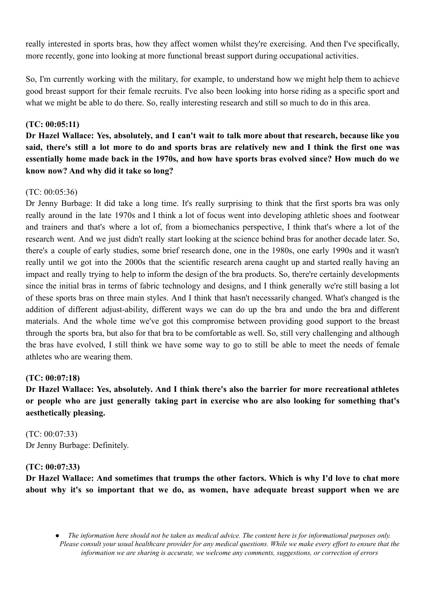really interested in sports bras, how they affect women whilst they're exercising. And then I've specifically, more recently, gone into looking at more functional breast support during occupational activities.

So, I'm currently working with the military, for example, to understand how we might help them to achieve good breast support for their female recruits. I've also been looking into horse riding as a specific sport and what we might be able to do there. So, really interesting research and still so much to do in this area.

## **(TC: 00:05:11)**

Dr Hazel Wallace: Yes, absolutely, and I can't wait to talk more about that research, because like you said, there's still a lot more to do and sports bras are relatively new and I think the first one was **essentially home made back in the 1970s, and how have sports bras evolved since? How much do we know now? And why did it take so long?**

## $(TC: 00:05:36)$

Dr Jenny Burbage: It did take a long time. It's really surprising to think that the first sports bra was only really around in the late 1970s and I think a lot of focus went into developing athletic shoes and footwear and trainers and that's where a lot of, from a biomechanics perspective, I think that's where a lot of the research went. And we just didn't really start looking at the science behind bras for another decade later. So, there's a couple of early studies, some brief research done, one in the 1980s, one early 1990s and it wasn't really until we got into the 2000s that the scientific research arena caught up and started really having an impact and really trying to help to inform the design of the bra products. So, there're certainly developments since the initial bras in terms of fabric technology and designs, and I think generally we're still basing a lot of these sports bras on three main styles. And I think that hasn't necessarily changed. What's changed is the addition of different adjust-ability, different ways we can do up the bra and undo the bra and different materials. And the whole time we've got this compromise between providing good support to the breast through the sports bra, but also for that bra to be comfortable as well. So, still very challenging and although the bras have evolved, I still think we have some way to go to still be able to meet the needs of female athletes who are wearing them.

## **(TC: 00:07:18)**

**Dr Hazel Wallace: Yes, absolutely. And I think there's also the barrier for more recreational athletes or people who are just generally taking part in exercise who are also looking for something that's aesthetically pleasing.**

(TC: 00:07:33) Dr Jenny Burbage: Definitely.

## **(TC: 00:07:33)**

**Dr Hazel Wallace: And sometimes that trumps the other factors. Which is why I'd love to chat more about why it's so important that we do, as women, have adequate breast support when we are**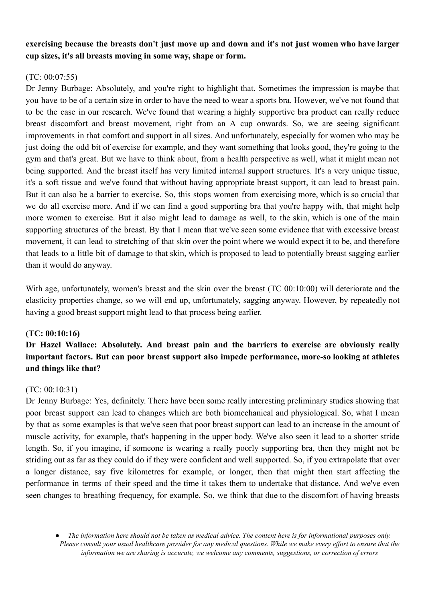## **exercising because the breasts don't just move up and down and it's not just women who have larger cup sizes, it's all breasts moving in some way, shape or form.**

## (TC: 00:07:55)

Dr Jenny Burbage: Absolutely, and you're right to highlight that. Sometimes the impression is maybe that you have to be of a certain size in order to have the need to wear a sports bra. However, we've not found that to be the case in our research. We've found that wearing a highly supportive bra product can really reduce breast discomfort and breast movement, right from an A cup onwards. So, we are seeing significant improvements in that comfort and support in all sizes. And unfortunately, especially for women who may be just doing the odd bit of exercise for example, and they want something that looks good, they're going to the gym and that's great. But we have to think about, from a health perspective as well, what it might mean not being supported. And the breast itself has very limited internal support structures. It's a very unique tissue, it's a soft tissue and we've found that without having appropriate breast support, it can lead to breast pain. But it can also be a barrier to exercise. So, this stops women from exercising more, which is so crucial that we do all exercise more. And if we can find a good supporting bra that you're happy with, that might help more women to exercise. But it also might lead to damage as well, to the skin, which is one of the main supporting structures of the breast. By that I mean that we've seen some evidence that with excessive breast movement, it can lead to stretching of that skin over the point where we would expect it to be, and therefore that leads to a little bit of damage to that skin, which is proposed to lead to potentially breast sagging earlier than it would do anyway.

With age, unfortunately, women's breast and the skin over the breast (TC 00:10:00) will deteriorate and the elasticity properties change, so we will end up, unfortunately, sagging anyway. However, by repeatedly not having a good breast support might lead to that process being earlier.

## **(TC: 00:10:16)**

# **Dr Hazel Wallace: Absolutely. And breast pain and the barriers to exercise are obviously really important factors. But can poor breast support also impede performance, more-so looking at athletes and things like that?**

## (TC: 00:10:31)

Dr Jenny Burbage: Yes, definitely. There have been some really interesting preliminary studies showing that poor breast support can lead to changes which are both biomechanical and physiological. So, what I mean by that as some examples is that we've seen that poor breast support can lead to an increase in the amount of muscle activity, for example, that's happening in the upper body. We've also seen it lead to a shorter stride length. So, if you imagine, if someone is wearing a really poorly supporting bra, then they might not be striding out as far as they could do if they were confident and well supported. So, if you extrapolate that over a longer distance, say five kilometres for example, or longer, then that might then start affecting the performance in terms of their speed and the time it takes them to undertake that distance. And we've even seen changes to breathing frequency, for example. So, we think that due to the discomfort of having breasts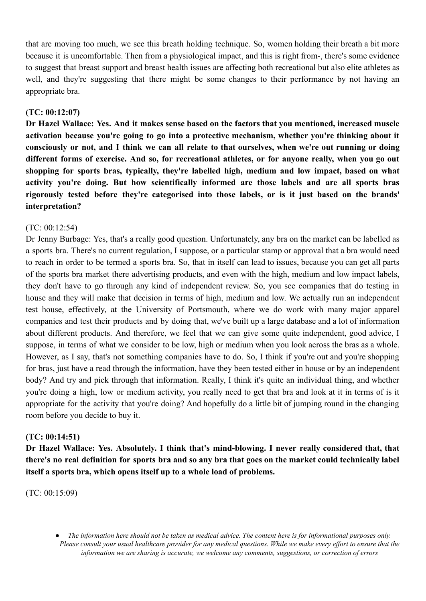that are moving too much, we see this breath holding technique. So, women holding their breath a bit more because it is uncomfortable. Then from a physiological impact, and this is right from-, there's some evidence to suggest that breast support and breast health issues are affecting both recreational but also elite athletes as well, and they're suggesting that there might be some changes to their performance by not having an appropriate bra.

## **(TC: 00:12:07)**

**Dr Hazel Wallace: Yes. And it makes sense based on the factors that you mentioned, increased muscle activation because you're going to go into a protective mechanism, whether you're thinking about it** consciously or not, and I think we can all relate to that ourselves, when we're out running or doing **different forms of exercise. And so, for recreational athletes, or for anyone really, when you go out shopping for sports bras, typically, they're labelled high, medium and low impact, based on what activity you're doing. But how scientifically informed are those labels and are all sports bras rigorously tested before they're categorised into those labels, or is it just based on the brands' interpretation?**

### (TC: 00:12:54)

Dr Jenny Burbage: Yes, that's a really good question. Unfortunately, any bra on the market can be labelled as a sports bra. There's no current regulation, I suppose, or a particular stamp or approval that a bra would need to reach in order to be termed a sports bra. So, that in itself can lead to issues, because you can get all parts of the sports bra market there advertising products, and even with the high, medium and low impact labels, they don't have to go through any kind of independent review. So, you see companies that do testing in house and they will make that decision in terms of high, medium and low. We actually run an independent test house, effectively, at the University of Portsmouth, where we do work with many major apparel companies and test their products and by doing that, we've built up a large database and a lot of information about different products. And therefore, we feel that we can give some quite independent, good advice, I suppose, in terms of what we consider to be low, high or medium when you look across the bras as a whole. However, as I say, that's not something companies have to do. So, I think if you're out and you're shopping for bras, just have a read through the information, have they been tested either in house or by an independent body? And try and pick through that information. Really, I think it's quite an individual thing, and whether you're doing a high, low or medium activity, you really need to get that bra and look at it in terms of is it appropriate for the activity that you're doing? And hopefully do a little bit of jumping round in the changing room before you decide to buy it.

### **(TC: 00:14:51)**

**Dr Hazel Wallace: Yes. Absolutely. I think that's mind-blowing. I never really considered that, that** there's no real definition for sports bra and so any bra that goes on the market could technically label **itself a sports bra, which opens itself up to a whole load of problems.**

(TC: 00:15:09)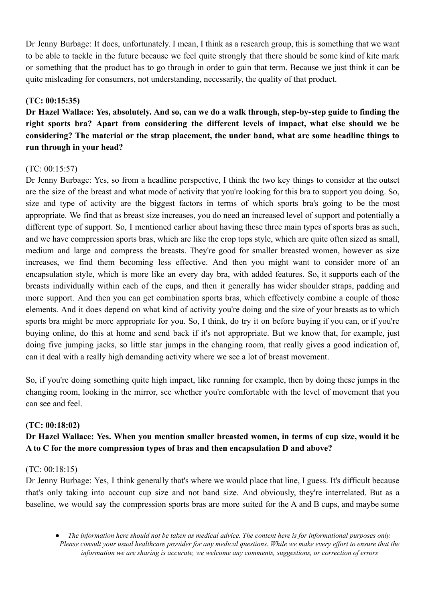Dr Jenny Burbage: It does, unfortunately. I mean, I think as a research group, this is something that we want to be able to tackle in the future because we feel quite strongly that there should be some kind of kite mark or something that the product has to go through in order to gain that term. Because we just think it can be quite misleading for consumers, not understanding, necessarily, the quality of that product.

## **(TC: 00:15:35)**

Dr Hazel Wallace: Yes, absolutely, And so, can we do a walk through, step-by-step guide to finding the **right sports bra? Apart from considering the different levels of impact, what else should we be considering? The material or the strap placement, the under band, what are some headline things to run through in your head?**

## $(TC: 00:15:57)$

Dr Jenny Burbage: Yes, so from a headline perspective, I think the two key things to consider at the outset are the size of the breast and what mode of activity that you're looking for this bra to support you doing. So, size and type of activity are the biggest factors in terms of which sports bra's going to be the most appropriate. We find that as breast size increases, you do need an increased level of support and potentially a different type of support. So, I mentioned earlier about having these three main types of sports bras as such, and we have compression sports bras, which are like the crop tops style, which are quite often sized as small, medium and large and compress the breasts. They're good for smaller breasted women, however as size increases, we find them becoming less effective. And then you might want to consider more of an encapsulation style, which is more like an every day bra, with added features. So, it supports each of the breasts individually within each of the cups, and then it generally has wider shoulder straps, padding and more support. And then you can get combination sports bras, which effectively combine a couple of those elements. And it does depend on what kind of activity you're doing and the size of your breasts as to which sports bra might be more appropriate for you. So, I think, do try it on before buying if you can, or if you're buying online, do this at home and send back if it's not appropriate. But we know that, for example, just doing five jumping jacks, so little star jumps in the changing room, that really gives a good indication of, can it deal with a really high demanding activity where we see a lot of breast movement.

So, if you're doing something quite high impact, like running for example, then by doing these jumps in the changing room, looking in the mirror, see whether you're comfortable with the level of movement that you can see and feel.

### **(TC: 00:18:02)**

## **Dr Hazel Wallace: Yes. When you mention smaller breasted women, in terms of cup size, would it be A to C for the more compression types of bras and then encapsulation D and above?**

### (TC: 00:18:15)

Dr Jenny Burbage: Yes, I think generally that's where we would place that line, I guess. It's difficult because that's only taking into account cup size and not band size. And obviously, they're interrelated. But as a baseline, we would say the compression sports bras are more suited for the A and B cups, and maybe some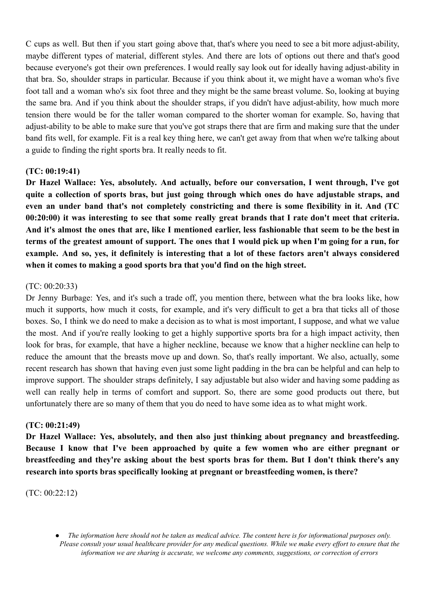C cups as well. But then if you start going above that, that's where you need to see a bit more adjust-ability, maybe different types of material, different styles. And there are lots of options out there and that's good because everyone's got their own preferences. I would really say look out for ideally having adjust-ability in that bra. So, shoulder straps in particular. Because if you think about it, we might have a woman who's five foot tall and a woman who's six foot three and they might be the same breast volume. So, looking at buying the same bra. And if you think about the shoulder straps, if you didn't have adjust-ability, how much more tension there would be for the taller woman compared to the shorter woman for example. So, having that adjust-ability to be able to make sure that you've got straps there that are firm and making sure that the under band fits well, for example. Fit is a real key thing here, we can't get away from that when we're talking about a guide to finding the right sports bra. It really needs to fit.

## **(TC: 00:19:41)**

**Dr Hazel Wallace: Yes, absolutely. And actually, before our conversation, I went through, I've got quite a collection of sports bras, but just going through which ones do have adjustable straps, and even an under band that's not completely constricting and there is some flexibility in it. And (TC** 00:20:00) it was interesting to see that some really great brands that I rate don't meet that criteria. And it's almost the ones that are, like I mentioned earlier, less fashionable that seem to be the best in terms of the greatest amount of support. The ones that I would pick up when I'm going for a run, for **example. And so, yes, it definitely is interesting that a lot of these factors aren't always considered when it comes to making a good sports bra that you'd find on the high street.**

## (TC: 00:20:33)

Dr Jenny Burbage: Yes, and it's such a trade off, you mention there, between what the bra looks like, how much it supports, how much it costs, for example, and it's very difficult to get a bra that ticks all of those boxes. So, I think we do need to make a decision as to what is most important, I suppose, and what we value the most. And if you're really looking to get a highly supportive sports bra for a high impact activity, then look for bras, for example, that have a higher neckline, because we know that a higher neckline can help to reduce the amount that the breasts move up and down. So, that's really important. We also, actually, some recent research has shown that having even just some light padding in the bra can be helpful and can help to improve support. The shoulder straps definitely, I say adjustable but also wider and having some padding as well can really help in terms of comfort and support. So, there are some good products out there, but unfortunately there are so many of them that you do need to have some idea as to what might work.

## **(TC: 00:21:49)**

**Dr Hazel Wallace: Yes, absolutely, and then also just thinking about pregnancy and breastfeeding. Because I know that I've been approached by quite a few women who are either pregnant or breastfeeding and they're asking about the best sports bras for them. But I don't think there's any research into sports bras specifically looking at pregnant or breastfeeding women, is there?**

(TC: 00:22:12)

The information here should not be taken as medical advice. The content here is for informational purposes only. Please consult your usual healthcare provider for any medical questions. While we make every effort to ensure that the *information we are sharing is accurate, we welcome any comments, suggestions, or correction of errors*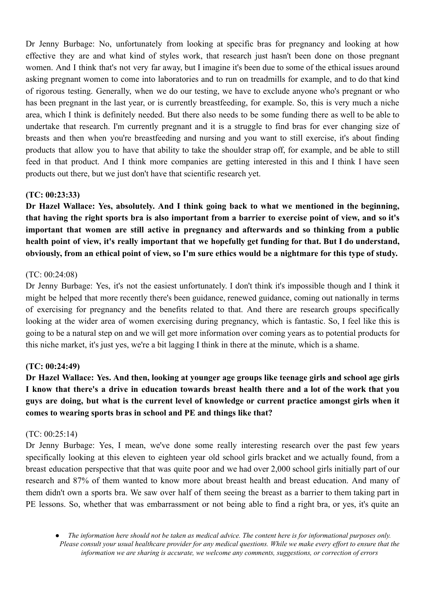Dr Jenny Burbage: No, unfortunately from looking at specific bras for pregnancy and looking at how effective they are and what kind of styles work, that research just hasn't been done on those pregnant women. And I think that's not very far away, but I imagine it's been due to some of the ethical issues around asking pregnant women to come into laboratories and to run on treadmills for example, and to do that kind of rigorous testing. Generally, when we do our testing, we have to exclude anyone who's pregnant or who has been pregnant in the last year, or is currently breastfeeding, for example. So, this is very much a niche area, which I think is definitely needed. But there also needs to be some funding there as well to be able to undertake that research. I'm currently pregnant and it is a struggle to find bras for ever changing size of breasts and then when you're breastfeeding and nursing and you want to still exercise, it's about finding products that allow you to have that ability to take the shoulder strap off, for example, and be able to still feed in that product. And I think more companies are getting interested in this and I think I have seen products out there, but we just don't have that scientific research yet.

## **(TC: 00:23:33)**

**Dr Hazel Wallace: Yes, absolutely. And I think going back to what we mentioned in the beginning,** that having the right sports bra is also important from a barrier to exercise point of view, and so it's **important that women are still active in pregnancy and afterwards and so thinking from a public** health point of view, it's really important that we hopefully get funding for that. But I do understand, **obviously, from an ethical point of view, so I'm sure ethics would be a nightmare for this type of study.**

### (TC: 00:24:08)

Dr Jenny Burbage: Yes, it's not the easiest unfortunately. I don't think it's impossible though and I think it might be helped that more recently there's been guidance, renewed guidance, coming out nationally in terms of exercising for pregnancy and the benefits related to that. And there are research groups specifically looking at the wider area of women exercising during pregnancy, which is fantastic. So, I feel like this is going to be a natural step on and we will get more information over coming years as to potential products for this niche market, it's just yes, we're a bit lagging I think in there at the minute, which is a shame.

### **(TC: 00:24:49)**

Dr Hazel Wallace: Yes. And then, looking at younger age groups like teenage girls and school age girls I know that there's a drive in education towards breast health there and a lot of the work that you guys are doing, but what is the current level of knowledge or current practice amongst girls when it **comes to wearing sports bras in school and PE and things like that?**

### (TC: 00:25:14)

Dr Jenny Burbage: Yes, I mean, we've done some really interesting research over the past few years specifically looking at this eleven to eighteen year old school girls bracket and we actually found, from a breast education perspective that that was quite poor and we had over 2,000 school girls initially part of our research and 87% of them wanted to know more about breast health and breast education. And many of them didn't own a sports bra. We saw over half of them seeing the breast as a barrier to them taking part in PE lessons. So, whether that was embarrassment or not being able to find a right bra, or yes, it's quite an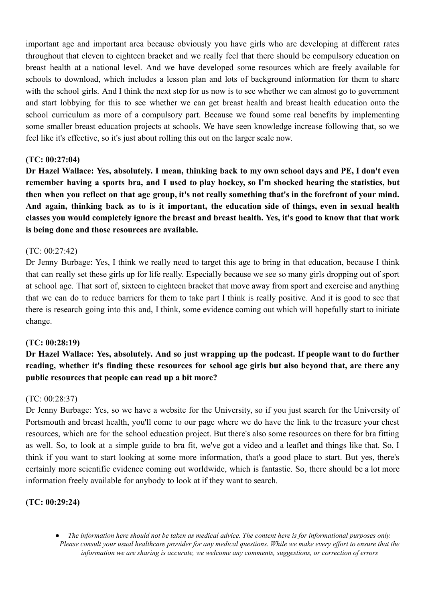important age and important area because obviously you have girls who are developing at different rates throughout that eleven to eighteen bracket and we really feel that there should be compulsory education on breast health at a national level. And we have developed some resources which are freely available for schools to download, which includes a lesson plan and lots of background information for them to share with the school girls. And I think the next step for us now is to see whether we can almost go to government and start lobbying for this to see whether we can get breast health and breast health education onto the school curriculum as more of a compulsory part. Because we found some real benefits by implementing some smaller breast education projects at schools. We have seen knowledge increase following that, so we feel like it's effective, so it's just about rolling this out on the larger scale now.

## **(TC: 00:27:04)**

Dr Hazel Wallace: Yes, absolutely. I mean, thinking back to my own school days and PE, I don't even remember having a sports bra, and I used to play hockey, so I'm shocked hearing the statistics, but then when you reflect on that age group, it's not really something that's in the forefront of your mind. And again, thinking back as to is it important, the education side of things, even in sexual health classes you would completely ignore the breast and breast health. Yes, it's good to know that that work **is being done and those resources are available.**

## (TC: 00:27:42)

Dr Jenny Burbage: Yes, I think we really need to target this age to bring in that education, because I think that can really set these girls up for life really. Especially because we see so many girls dropping out of sport at school age. That sort of, sixteen to eighteen bracket that move away from sport and exercise and anything that we can do to reduce barriers for them to take part I think is really positive. And it is good to see that there is research going into this and, I think, some evidence coming out which will hopefully start to initiate change.

### **(TC: 00:28:19)**

# Dr Hazel Wallace: Yes, absolutely. And so just wrapping up the podcast. If people want to do further **reading, whether it's finding these resources for school age girls but also beyond that, are there any public resources that people can read up a bit more?**

### (TC: 00:28:37)

Dr Jenny Burbage: Yes, so we have a website for the University, so if you just search for the University of Portsmouth and breast health, you'll come to our page where we do have the link to the treasure your chest resources, which are for the school education project. But there's also some resources on there for bra fitting as well. So, to look at a simple guide to bra fit, we've got a video and a leaflet and things like that. So, I think if you want to start looking at some more information, that's a good place to start. But yes, there's certainly more scientific evidence coming out worldwide, which is fantastic. So, there should be a lot more information freely available for anybody to look at if they want to search.

### **(TC: 00:29:24)**